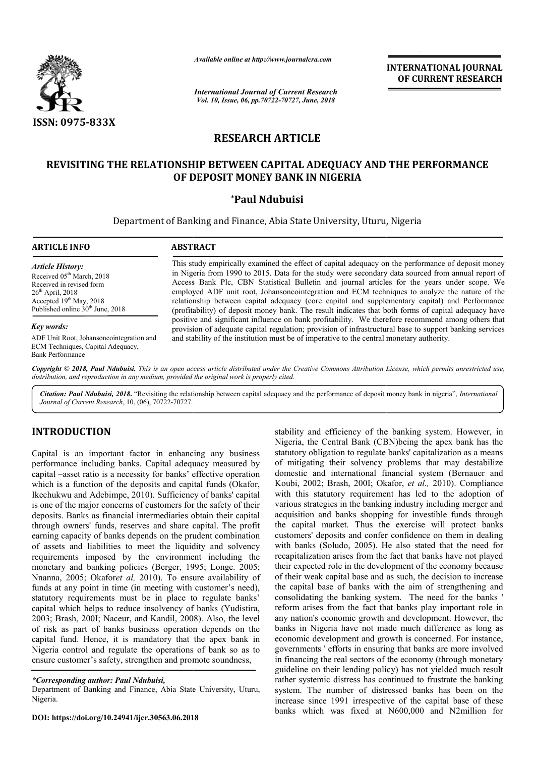

*Available online at http://www.journalcra.com*

*International Journal of Current Research Vol. 10, Issue, 06, pp.70722-70727, June, 2018*

**INTERNATIONAL JOURNAL OF CURRENT RESEARCH**

# **RESEARCH ARTICLE**

# **REVISITING THE RELATIONSHIP BETWEEN CAPITAL ADEQUACY AND THE PERFORMANCE ADEQUACY OF DEPOSIT MONEY BANK IN NIGERIA**

# **\*Paul Ndubuisi**

Department of Banking and Finance, Abia State University, Uturu, Nigeria

#### **ARTICLE INFO ABSTRACT**

*Article History:* Received 05<sup>th</sup> March, 2018 Received in revised form  $26<sup>th</sup>$  April, 2018 Accepted  $19<sup>th</sup>$  May, 2018 Published online  $30<sup>th</sup>$  June, 2018

#### *Key words:*

ADF Unit Root, Johansoncointegration and ECM Techniques, Capital Adequacy, Bank Performance

This study empirically examined the effect of capital adequacy on the performance of deposit money This study empirically examined the effect of capital adequacy on the performance of deposit money in Nigeria from 1990 to 2015. Data for the study were secondary data sourced from annual report of Access Bank Plc, CBN Statistical Bulletin and journal articles for the years under scope. We employed ADF unit root, Johansoncointegration and ECM techniques to analyze the nature of the relationship between capital adequacy (core capital and supplementary capital) and Performance (profitability) of deposit money bank. The result indicates that both forms of capital adequacy have Access Bank Plc, CBN Statistical Bulletin and journal articles for the years under scope. We employed ADF unit root, Johansoncointegration and ECM techniques to analyze the nature of the relationship between capital adequa provision of adequate capital regulation; provision of infrastructural base to support banking services provision of adequate capital regulation; provision of infrastructural base to support and stability of the institution must be of imperative to the central monetary authority.

Copyright © 2018, Paul Ndubuisi. This is an open access article distributed under the Creative Commons Attribution License, which permits unrestricted use, *distribution, and reproduction in any medium, provided the original work is properly cited.*

Citation: Paul Ndubuisi, 2018. "Revisiting the relationship between capital adequacy and the performance of deposit money bank in nigeria", *International Journal of Current Research*, 10, (06), 70722-70727.

# **INTRODUCTION**

Capital is an important factor in enhancing any business performance including banks. Capital adequacy measured by capital –asset ratio is a necessity for banks' effective operation which is a function of the deposits and capital funds (Okafor, capital –asset ratio is a necessity for banks' effective operation<br>which is a function of the deposits and capital funds (Okafor,<br>Ikechukwu and Adebimpe, 2010). Sufficiency of banks' capital is one of the major concerns of customers for the safety of their deposits. Banks as financial intermediaries obtain their capital through owners' funds, reserves and share capital. The profit earning capacity of banks depends on the prudent combination of assets and liabilities to meet the liquidity and solvency requirements imposed by the environment including the monetary and banking policies (Berger, 1995; Longe. 2005; Nnanna, 2005; Okafor*et al,* 2010). To ensure availability of funds at any point in time (in meeting with customer's need), statutory requirements must be in place to regulate banks' capital which helps to reduce insolvency of banks (Yudistira, 2003; Brash, 200I; Naceur, and Kandil, 2008). Also, the level of risk as part of banks business operation depends on the capital fund. Hence, it is mandatory that the apex bank in Nigeria control and regulate the operations of bank so as to ensure customer's safety, strengthen and promote soundness,

Department of Banking and Finance, Abia State University, Uturu, Nigeria.

stability and efficiency of the banking system.<br>
Namancing any business statutory obligation to regulate banks (CBN)boring the approximation aments' effective operation domestic and international financial system (datapita Nigeria, the Central Bank (CBN)being the apex bank has the statutory obligation to regulate banks' capitalization as a means of mitigating their solvency problems that may destabilize domestic and international financial system (Bernauer and Koubi, 2002; Brash, 2001; Okafor, et al., 2010). Compliance with this statutory requirement has led to the adoption of various strategies in the banking industry including merger and acquisition and banks shopping for investible funds through the capital market. Thus the exercise will protect banks customers' deposits and confer confidence on them in dealing with banks (Soludo, 2005). He also stated that the need for recapitalization arises from the fact that banks have not played their expected role in the development of the economy because of their weak capital base and as such, the decision to increase the capital base of banks with the aim of strengthening and consolidating the banking system. The need for the banks ' reform arises from the fact that banks play important role in any nation's economic growth and development. However, the banks in Nigeria have not made much difference as long as economic development and growth is concerned. For instance, any nation's economic growth and development. However, the banks in Nigeria have not made much difference as long as economic development and growth is concerned. For instance, governments ' efforts in ensuring that banks in financing the real sectors of the economy (through monetary guideline on their lending policy) has not yielded much result rather systemic distress has continued to frustrate the banking system. The number of distressed banks has been on the increase since 1991 irrespective of the capital base of these banks which was fixed at N600,000 and N2million for stability and efficiency of the banking system. However, in Nigeria, the Central Bank (CBN)being the apex bank has the statutory obligation to regulate banks' capitalization as a means of mitigating their solvency problems that may destabilize domestic and international financial s requirement has led to the adoption of ous strategies in the banking industry including merger and instition and banks shopping for investible funds through capital market. Thus the exercise will protect banks omers' depos **FIFERNATIONAL JOURNAL FORMATIONAL JOURNAL FORMATION CONTROL TO THE AND THE PERFORMATION CONTROL CONTROL CONTROL (CONTROL) AND THE PERFORMANCE SPACE AND THE CONTROL CONTROL CONTROL (THE ORDER AND WE CONTROL CONTROL CONTRO** 

*<sup>\*</sup>Corresponding author: Paul Ndubuisi,*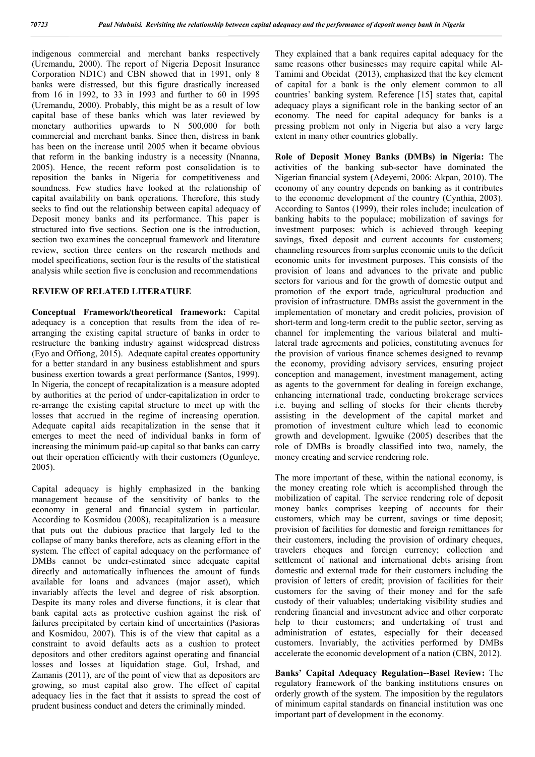indigenous commercial and merchant banks respectively (Uremandu, 2000). The report of Nigeria Deposit Insurance Corporation ND1C) and CBN showed that in 1991, only 8 banks were distressed, but this figure drastically increased from 16 in 1992, to 33 in 1993 and further to 60 in 1995 (Uremandu, 2000). Probably, this might be as a result of low capital base of these banks which was later reviewed by monetary authorities upwards to N 500,000 for both commercial and merchant banks. Since then, distress in bank has been on the increase until 2005 when it became obvious that reform in the banking industry is a necessity (Nnanna, 2005). Hence, the recent reform post consolidation is to reposition the banks in Nigeria for competitiveness and soundness. Few studies have looked at the relationship of capital availability on bank operations. Therefore, this study seeks to find out the relationship between capital adequacy of Deposit money banks and its performance. This paper is structured into five sections. Section one is the introduction, section two examines the conceptual framework and literature review, section three centers on the research methods and model specifications, section four is the results of the statistical analysis while section five is conclusion and recommendations

## **REVIEW OF RELATED LITERATURE**

**Conceptual Framework/theoretical framework:** Capital adequacy is a conception that results from the idea of rearranging the existing capital structure of banks in order to restructure the banking industry against widespread distress (Eyo and Offiong, 2015). Adequate capital creates opportunity for a better standard in any business establishment and spurs business exertion towards a great performance (Santos, 1999). In Nigeria, the concept of recapitalization is a measure adopted by authorities at the period of under-capitalization in order to re-arrange the existing capital structure to meet up with the losses that accrued in the regime of increasing operation. Adequate capital aids recapitalization in the sense that it emerges to meet the need of individual banks in form of increasing the minimum paid-up capital so that banks can carry out their operation efficiently with their customers (Ogunleye, 2005).

Capital adequacy is highly emphasized in the banking management because of the sensitivity of banks to the economy in general and financial system in particular. According to Kosmidou (2008), recapitalization is a measure that puts out the dubious practice that largely led to the collapse of many banks therefore, acts as cleaning effort in the system. The effect of capital adequacy on the performance of DMBs cannot be under-estimated since adequate capital directly and automatically influences the amount of funds available for loans and advances (major asset), which invariably affects the level and degree of risk absorption. Despite its many roles and diverse functions, it is clear that bank capital acts as protective cushion against the risk of failures precipitated by certain kind of uncertainties (Pasioras and Kosmidou, 2007). This is of the view that capital as a constraint to avoid defaults acts as a cushion to protect depositors and other creditors against operating and financial losses and losses at liquidation stage. Gul, Irshad, and Zamanis (2011), are of the point of view that as depositors are growing, so must capital also grow. The effect of capital adequacy lies in the fact that it assists to spread the cost of prudent business conduct and deters the criminally minded.

They explained that a bank requires capital adequacy for the same reasons other businesses may require capital while Al-Tamimi and Obeidat (2013), emphasized that the key element of capital for a bank is the only element common to all countries' banking system. Reference [15] states that, capital adequacy plays a significant role in the banking sector of an economy. The need for capital adequacy for banks is a pressing problem not only in Nigeria but also a very large extent in many other countries globally.

**Role of Deposit Money Banks (DMBs) in Nigeria:** The activities of the banking sub-sector have dominated the Nigerian financial system (Adeyemi, 2006: Akpan, 2010). The economy of any country depends on banking as it contributes to the economic development of the country (Cynthia, 2003). According to Santos (1999), their roles include; inculcation of banking habits to the populace; mobilization of savings for investment purposes: which is achieved through keeping savings, fixed deposit and current accounts for customers; channeling resources from surplus economic units to the deficit economic units for investment purposes. This consists of the provision of loans and advances to the private and public sectors for various and for the growth of domestic output and promotion of the export trade, agricultural production and provision of infrastructure. DMBs assist the government in the implementation of monetary and credit policies, provision of short-term and long-term credit to the public sector, serving as channel for implementing the various bilateral and multilateral trade agreements and policies, constituting avenues for the provision of various finance schemes designed to revamp the economy, providing advisory services, ensuring project conception and management, investment management, acting as agents to the government for dealing in foreign exchange, enhancing international trade, conducting brokerage services i.e. buying and selling of stocks for their clients thereby assisting in the development of the capital market and promotion of investment culture which lead to economic growth and development. Igwuike (2005) describes that the role of DMBs is broadly classified into two, namely, the money creating and service rendering role.

The more important of these, within the national economy, is the money creating role which is accomplished through the mobilization of capital. The service rendering role of deposit money banks comprises keeping of accounts for their customers, which may be current, savings or time deposit; provision of facilities for domestic and foreign remittances for their customers, including the provision of ordinary cheques, travelers cheques and foreign currency; collection and settlement of national and international debts arising from domestic and external trade for their customers including the provision of letters of credit; provision of facilities for their customers for the saving of their money and for the safe custody of their valuables; undertaking visibility studies and rendering financial and investment advice and other corporate help to their customers; and undertaking of trust and administration of estates, especially for their deceased customers. Invariably, the activities performed by DMBs accelerate the economic development of a nation (CBN, 2012).

**Banks' Capital Adequacy Regulation--Basel Review:** The regulatory framework of the banking institutions ensures on orderly growth of the system. The imposition by the regulators of minimum capital standards on financial institution was one important part of development in the economy.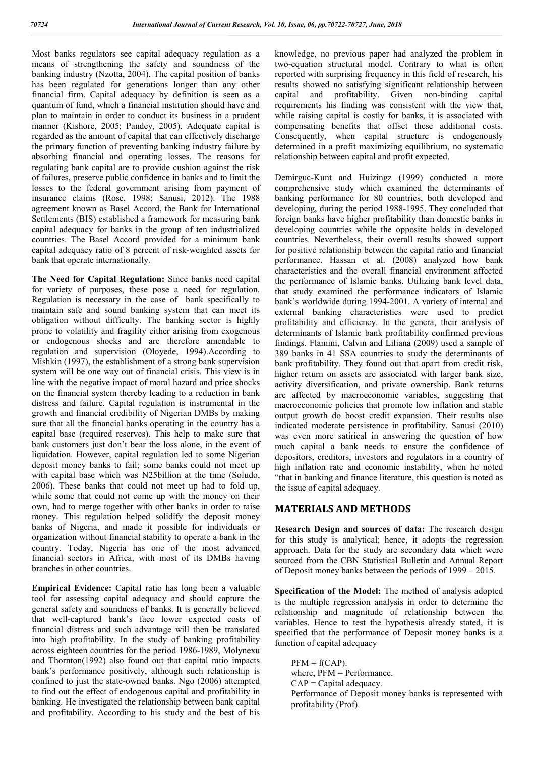Most banks regulators see capital adequacy regulation as a means of strengthening the safety and soundness of the banking industry (Nzotta, 2004). The capital position of banks has been regulated for generations longer than any other financial firm. Capital adequacy by definition is seen as a quantum of fund, which a financial institution should have and plan to maintain in order to conduct its business in a prudent manner (Kishore, 2005; Pandey, 2005). Adequate capital is regarded as the amount of capital that can effectively discharge the primary function of preventing banking industry failure by absorbing financial and operating losses. The reasons for regulating bank capital are to provide cushion against the risk of failures, preserve public confidence in banks and to limit the losses to the federal government arising from payment of insurance claims (Rose, 1998; Sanusi, 2012). The 1988 agreement known as Basel Accord, the Bank for International Settlements (BIS) established a framework for measuring bank capital adequacy for banks in the group of ten industrialized countries. The Basel Accord provided for a minimum bank capital adequacy ratio of 8 percent of risk-weighted assets for bank that operate internationally.

**The Need for Capital Regulation:** Since banks need capital for variety of purposes, these pose a need for regulation. Regulation is necessary in the case of bank specifically to maintain safe and sound banking system that can meet its obligation without difficulty. The banking sector is highly prone to volatility and fragility either arising from exogenous or endogenous shocks and are therefore amendable to regulation and supervision (Oloyede, 1994).According to Mishkin (1997), the establishment of a strong bank supervision system will be one way out of financial crisis. This view is in line with the negative impact of moral hazard and price shocks on the financial system thereby leading to a reduction in bank distress and failure. Capital regulation is instrumental in the growth and financial credibility of Nigerian DMBs by making sure that all the financial banks operating in the country has a capital base (required reserves). This help to make sure that bank customers just don't bear the loss alone, in the event of liquidation. However, capital regulation led to some Nigerian deposit money banks to fail; some banks could not meet up with capital base which was N25billion at the time (Soludo, 2006). These banks that could not meet up had to fold up, while some that could not come up with the money on their own, had to merge together with other banks in order to raise money. This regulation helped solidify the deposit money banks of Nigeria, and made it possible for individuals or organization without financial stability to operate a bank in the country. Today, Nigeria has one of the most advanced financial sectors in Africa, with most of its DMBs having branches in other countries.

**Empirical Evidence:** Capital ratio has long been a valuable tool for assessing capital adequacy and should capture the general safety and soundness of banks. It is generally believed that well-captured bank's face lower expected costs of financial distress and such advantage will then be translated into high profitability. In the study of banking profitability across eighteen countries for the period 1986-1989, Molynexu and Thornton(1992) also found out that capital ratio impacts bank's performance positively, although such relationship is confined to just the state-owned banks. Ngo (2006) attempted to find out the effect of endogenous capital and profitability in banking. He investigated the relationship between bank capital and profitability. According to his study and the best of his knowledge, no previous paper had analyzed the problem in two-equation structural model. Contrary to what is often reported with surprising frequency in this field of research, his results showed no satisfying significant relationship between capital and profitability. Given non-binding capital requirements his finding was consistent with the view that, while raising capital is costly for banks, it is associated with compensating benefits that offset these additional costs. Consequently, when capital structure is endogenously determined in a profit maximizing equilibrium, no systematic relationship between capital and profit expected.

Demirguc-Kunt and Huizingz (1999) conducted a more comprehensive study which examined the determinants of banking performance for 80 countries, both developed and developing, during the period 1988-1995. They concluded that foreign banks have higher profitability than domestic banks in developing countries while the opposite holds in developed countries. Nevertheless, their overall results showed support for positive relationship between the capital ratio and financial performance. Hassan et al. (2008) analyzed how bank characteristics and the overall financial environment affected the performance of Islamic banks. Utilizing bank level data, that study examined the performance indicators of Islamic bank's worldwide during 1994-2001. A variety of internal and external banking characteristics were used to predict profitability and efficiency. In the genera, their analysis of determinants of Islamic bank profitability confirmed previous findings. Flamini, Calvin and Liliana (2009) used a sample of 389 banks in 41 SSA countries to study the determinants of bank profitability. They found out that apart from credit risk, higher return on assets are associated with larger bank size, activity diversification, and private ownership. Bank returns are affected by macroeconomic variables, suggesting that macroeconomic policies that promote low inflation and stable output growth do boost credit expansion. Their results also indicated moderate persistence in profitability. Sanusi (2010) was even more satirical in answering the question of how much capital a bank needs to ensure the confidence of depositors, creditors, investors and regulators in a country of high inflation rate and economic instability, when he noted "that in banking and finance literature, this question is noted as the issue of capital adequacy.

## **MATERIALS AND METHODS**

**Research Design and sources of data:** The research design for this study is analytical; hence, it adopts the regression approach. Data for the study are secondary data which were sourced from the CBN Statistical Bulletin and Annual Report of Deposit money banks between the periods of 1999 – 2015.

**Specification of the Model:** The method of analysis adopted is the multiple regression analysis in order to determine the relationship and magnitude of relationship between the variables. Hence to test the hypothesis already stated, it is specified that the performance of Deposit money banks is a function of capital adequacy

 $PFM = f(CAP)$ . where, PFM = Performance.  $CAP = Capital$  adequacy. Performance of Deposit money banks is represented with profitability (Prof).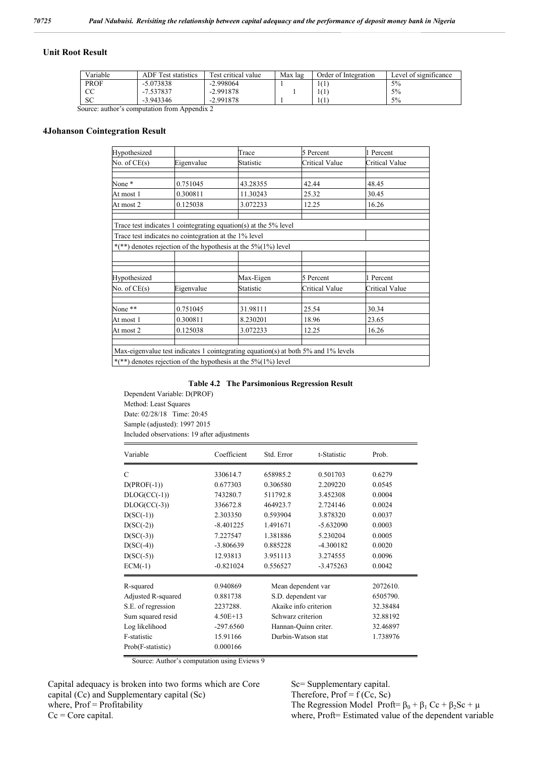#### **Unit Root Result**

| Variable    | <b>ADF</b> Test statistics | Test critical value | Max lag | Order of Integration | Level of significance |
|-------------|----------------------------|---------------------|---------|----------------------|-----------------------|
| <b>PROF</b> | $-5.073838$                | $-2.998064$         |         |                      | 5%                    |
| CC          | -7.537837                  | $-2.991878$         |         | -1111                | 5%                    |
| <b>SC</b>   | $-3.943346$                | $-2.991878$         |         |                      | 5%                    |

Source: author's computation from Appendix 2

#### **4Johanson Cointegration Result**

| Hypothesized   |                                                       | Trace                                                                     | 5 Percent                                                                          | 1 Percent      |
|----------------|-------------------------------------------------------|---------------------------------------------------------------------------|------------------------------------------------------------------------------------|----------------|
| No. of $CE(s)$ | Eigenvalue                                            | Statistic                                                                 | Critical Value                                                                     | Critical Value |
| None*          | 0.751045                                              | 43.28355                                                                  | 42.44                                                                              | 48.45          |
| At most 1      | 0.300811                                              | 11.30243                                                                  | 25.32                                                                              | 30.45          |
| At most 2      | 0.125038                                              | 3.072233                                                                  | 12.25                                                                              | 16.26          |
|                | Trace test indicates no cointegration at the 1% level | Trace test indicates 1 cointegrating equation(s) at the 5% level          |                                                                                    |                |
|                |                                                       | *(**) denotes rejection of the hypothesis at the $5\frac{6}{1\%}$ ) level |                                                                                    |                |
|                |                                                       |                                                                           |                                                                                    |                |
| Hypothesized   |                                                       | Max-Eigen                                                                 | 5 Percent                                                                          | 1 Percent      |
| No. of $CE(s)$ | Eigenvalue                                            | Statistic                                                                 | Critical Value                                                                     | Critical Value |
| None **        | 0.751045                                              | 31.98111                                                                  | 25.54                                                                              | 30.34          |
| At most 1      | 0.300811                                              | 8.230201                                                                  | 18.96                                                                              | 23.65          |
| At most 2      | 0.125038                                              | 3.072233                                                                  | 12.25                                                                              | 16.26          |
|                |                                                       | *(**) denotes rejection of the hypothesis at the $5\frac{6}{1\%}$ level   | Max-eigenvalue test indicates 1 cointegrating equation(s) at both 5% and 1% levels |                |

#### **Table 4.2 The Parsimonious Regression Result**

Dependent Variable: D(PROF) Method: Least Squares Date: 02/28/18 Time: 20:45 Sample (adjusted): 1997 2015 Included observations: 19 after adjustments

| Variable           | Coefficient | Std. Error            | t-Statistic | Prob.    |
|--------------------|-------------|-----------------------|-------------|----------|
| C                  | 330614.7    | 658985.2              | 0.501703    | 0.6279   |
| $D(PROF(-1))$      | 0.677303    | 0.306580              | 2.209220    | 0.0545   |
| $DLOG(CC(-1))$     | 743280.7    | 511792.8              | 3.452308    | 0.0004   |
| $DLOG(CC(-3))$     | 336672.8    | 464923.7              | 2.724146    | 0.0024   |
| $D(SC(-1))$        | 2.303350    | 0.593904              | 3.878320    | 0.0037   |
| $D(SC(-2))$        | $-8.401225$ | 1.491671              | $-5.632090$ | 0.0003   |
| $D(SC(-3))$        | 7.227547    | 1.381886              | 5.230204    | 0.0005   |
| $D(SC(-4))$        | $-3.806639$ | 0.885228              | $-4.300182$ | 0.0020   |
| $D(SC(-5))$        | 12.93813    | 3.951113              | 3.274555    | 0.0096   |
| $ECM(-1)$          | $-0.821024$ | 0.556527              | $-3.475263$ | 0.0042   |
| R-squared          | 0.940869    | Mean dependent var    |             | 2072610. |
| Adjusted R-squared | 0.881738    | S.D. dependent var    |             | 6505790. |
| S.E. of regression | 2237288.    | Akaike info criterion |             | 32.38484 |
| Sum squared resid  | $4.50E+13$  | Schwarz criterion     |             | 32.88192 |
| Log likelihood     | $-297.6560$ | Hannan-Quinn criter.  |             | 32.46897 |
| F-statistic        | 15.91166    | Durbin-Watson stat    |             | 1.738976 |
| Prob(F-statistic)  | 0.000166    |                       |             |          |

Source: Author's computation using Eviews 9

Capital adequacy is broken into two forms which are Core capital (Cc) and Supplementary capital (Sc) where, Prof = Profitability  $Cc = Core capital$ .

Sc= Supplementary capital. Therefore,  $Prof = f (Ce, Sc)$ The Regression Model Proft=  $\beta_0 + \beta_1$  Cc +  $\beta_2$ Sc +  $\mu$ where, Proft= Estimated value of the dependent variable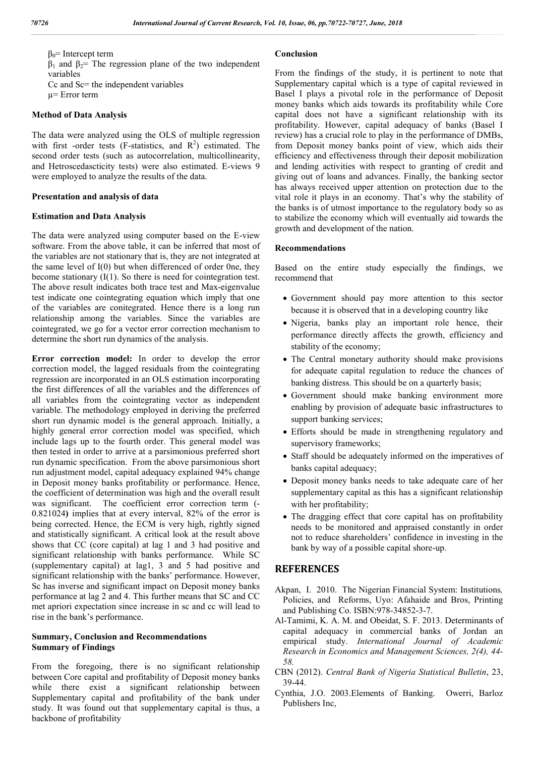$β<sub>0</sub>$ = Intercept term  $β_1$  and  $β_2$ = The regression plane of the two independent variables Cc and Sc= the independent variables

µ= Error term

## **Method of Data Analysis**

The data were analyzed using the OLS of multiple regression with first -order tests (F-statistics, and  $R^2$ ) estimated. The second order tests (such as autocorrelation, multicollinearity, and Hetroscedascticity tests) were also estimated. E-views 9 were employed to analyze the results of the data.

#### **Presentation and analysis of data**

#### **Estimation and Data Analysis**

The data were analyzed using computer based on the E-view software. From the above table, it can be inferred that most of the variables are not stationary that is, they are not integrated at the same level of I(0) but when differenced of order 0ne, they become stationary  $(I(1))$ . So there is need for cointegration test. The above result indicates both trace test and Max-eigenvalue test indicate one cointegrating equation which imply that one of the variables are conitegrated. Hence there is a long run relationship among the variables. Since the variables are cointegrated, we go for a vector error correction mechanism to determine the short run dynamics of the analysis.

**Error correction model:** In order to develop the error correction model, the lagged residuals from the cointegrating regression are incorporated in an OLS estimation incorporating the first differences of all the variables and the differences of all variables from the cointegrating vector as independent variable. The methodology employed in deriving the preferred short run dynamic model is the general approach. Initially, a highly general error correction model was specified, which include lags up to the fourth order. This general model was then tested in order to arrive at a parsimonious preferred short run dynamic specification. From the above parsimonious short run adjustment model, capital adequacy explained 94% change in Deposit money banks profitability or performance. Hence, the coefficient of determination was high and the overall result was significant. The coefficient error correction term (- 0.821024**)** implies that at every interval, 82% of the error is being corrected. Hence, the ECM is very high, rightly signed and statistically significant. A critical look at the result above shows that CC (core capital) at lag 1 and 3 had positive and significant relationship with banks performance. While SC (supplementary capital) at lag1, 3 and 5 had positive and significant relationship with the banks' performance. However, Sc has inverse and significant impact on Deposit money banks performance at lag 2 and 4. This further means that SC and CC met apriori expectation since increase in sc and cc will lead to rise in the bank's performance.

## **Summary, Conclusion and Recommendations Summary of Findings**

From the foregoing, there is no significant relationship between Core capital and profitability of Deposit money banks while there exist a significant relationship between Supplementary capital and profitability of the bank under study. It was found out that supplementary capital is thus, a backbone of profitability

## **Conclusion**

From the findings of the study, it is pertinent to note that Supplementary capital which is a type of capital reviewed in Basel I plays a pivotal role in the performance of Deposit money banks which aids towards its profitability while Core capital does not have a significant relationship with its profitability. However, capital adequacy of banks (Basel I review) has a crucial role to play in the performance of DMBs, from Deposit money banks point of view, which aids their efficiency and effectiveness through their deposit mobilization and lending activities with respect to granting of credit and giving out of loans and advances. Finally, the banking sector has always received upper attention on protection due to the vital role it plays in an economy. That's why the stability of the banks is of utmost importance to the regulatory body so as to stabilize the economy which will eventually aid towards the growth and development of the nation.

#### **Recommendations**

Based on the entire study especially the findings, we recommend that

- Government should pay more attention to this sector because it is observed that in a developing country like
- Nigeria, banks play an important role hence, their performance directly affects the growth, efficiency and stability of the economy;
- The Central monetary authority should make provisions for adequate capital regulation to reduce the chances of banking distress. This should be on a quarterly basis;
- Government should make banking environment more enabling by provision of adequate basic infrastructures to support banking services;
- Efforts should be made in strengthening regulatory and supervisory frameworks;
- Staff should be adequately informed on the imperatives of banks capital adequacy;
- Deposit money banks needs to take adequate care of her supplementary capital as this has a significant relationship with her profitability;
- The dragging effect that core capital has on profitability needs to be monitored and appraised constantly in order not to reduce shareholders' confidence in investing in the bank by way of a possible capital shore-up.

## **REFERENCES**

- Akpan, I. 2010. The Nigerian Financial System: Institutions*,*  Policies, and Reforms, Uyo: Afahaide and Bros, Printing and Publishing Co. ISBN:978-34852-3-7.
- Al-Tamimi, K. A. M. and Obeidat, S. F. 2013. Determinants of capital adequacy in commercial banks of Jordan an empirical study. *International Journal of Academic Research in Economics and Management Sciences, 2(4), 44- 58.*
- CBN (2012). *Central Bank of Nigeria Statistical Bulletin*, 23, 39-44.
- Cynthia, J.O. 2003.Elements of Banking. Owerri, Barloz Publishers Inc,